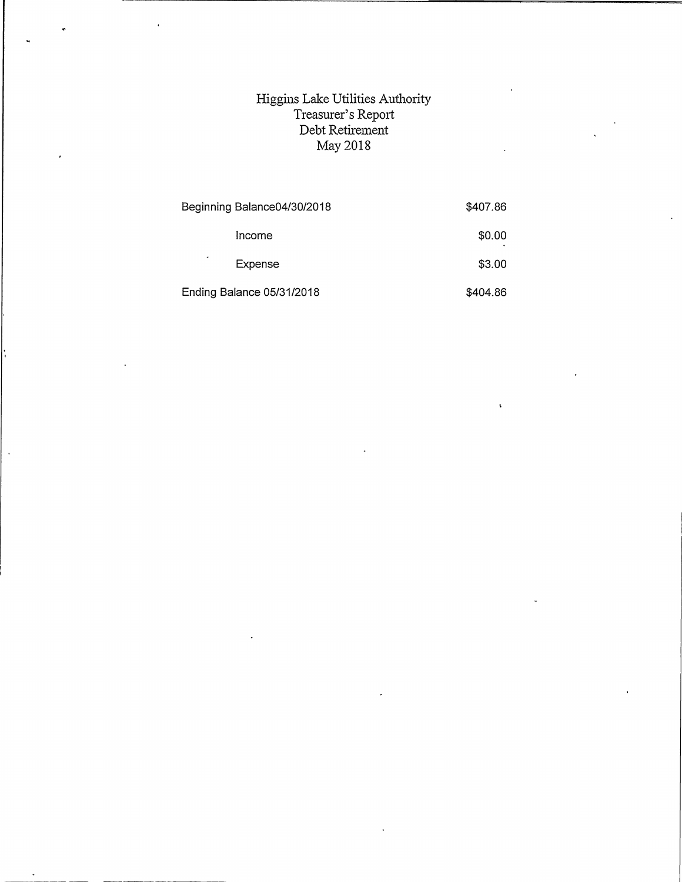## Higgins Lalce Utilities Authority Treasurer's Report Debt Retirement May 2018

| Beginning Balance04/30/2018 | \$407.86 |
|-----------------------------|----------|
| Income                      | \$0.00   |
| ٠<br>Expense                | \$3.00   |
| Ending Balance 05/31/2018   | \$404.86 |

 $\bar{\mathbf{r}}$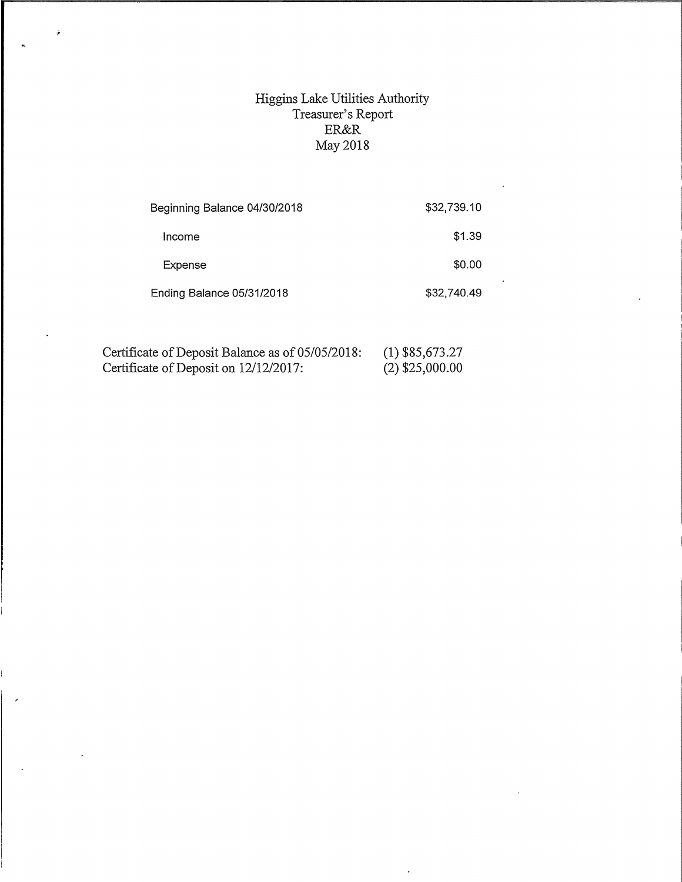## Higgins Lake Utilities Authority Treasurer's Report ER&R May 2018

| Beginning Balance 04/30/2018 | \$32,739.10 |
|------------------------------|-------------|
| Income                       | \$1.39      |
| Expense                      | \$0.00      |
| Ending Balance 05/31/2018    | \$32,740.49 |

| Certificate of Deposit Balance as of 05/05/2018: | $(1)$ \$85,673.27 |
|--------------------------------------------------|-------------------|
| Certificate of Deposit on 12/12/2017:            | $(2)$ \$25,000.00 |

 $\hat{\sigma}$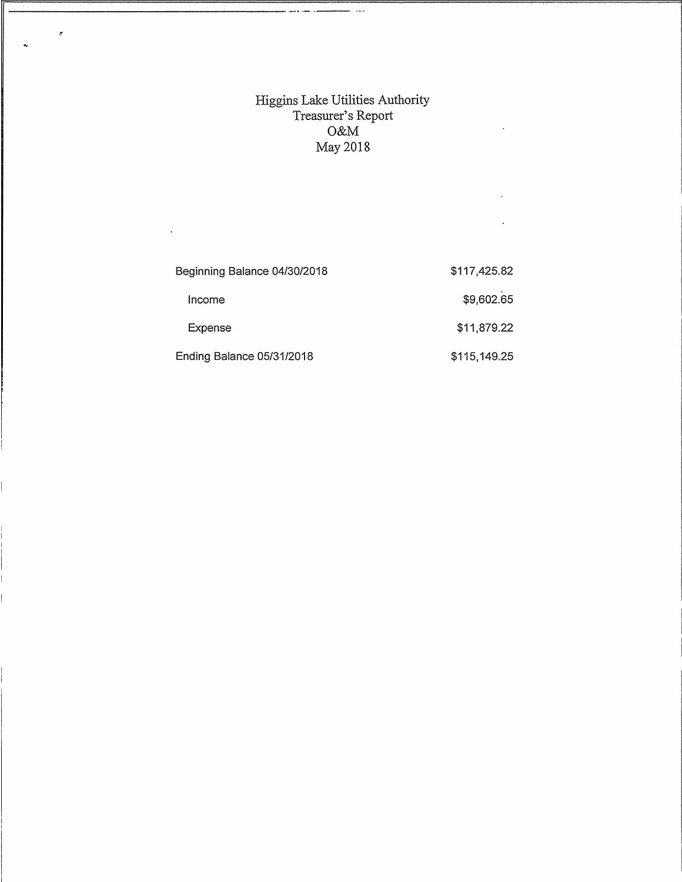## Higgins Lake Utilities Authority<br>Treasurer's Report<br>O&M<br>May 2018

 $\ddot{\phantom{a}}$ 

 $\langle$ 

 $\ddot{\phantom{a}}$ 

 $\mathbf{r}$ 

| Beginning Balance 04/30/2018 | \$117,425.82 |
|------------------------------|--------------|
| Income                       | \$9,602.65   |
| Expense                      | \$11,879.22  |
| Ending Balance 05/31/2018    | \$115,149.25 |